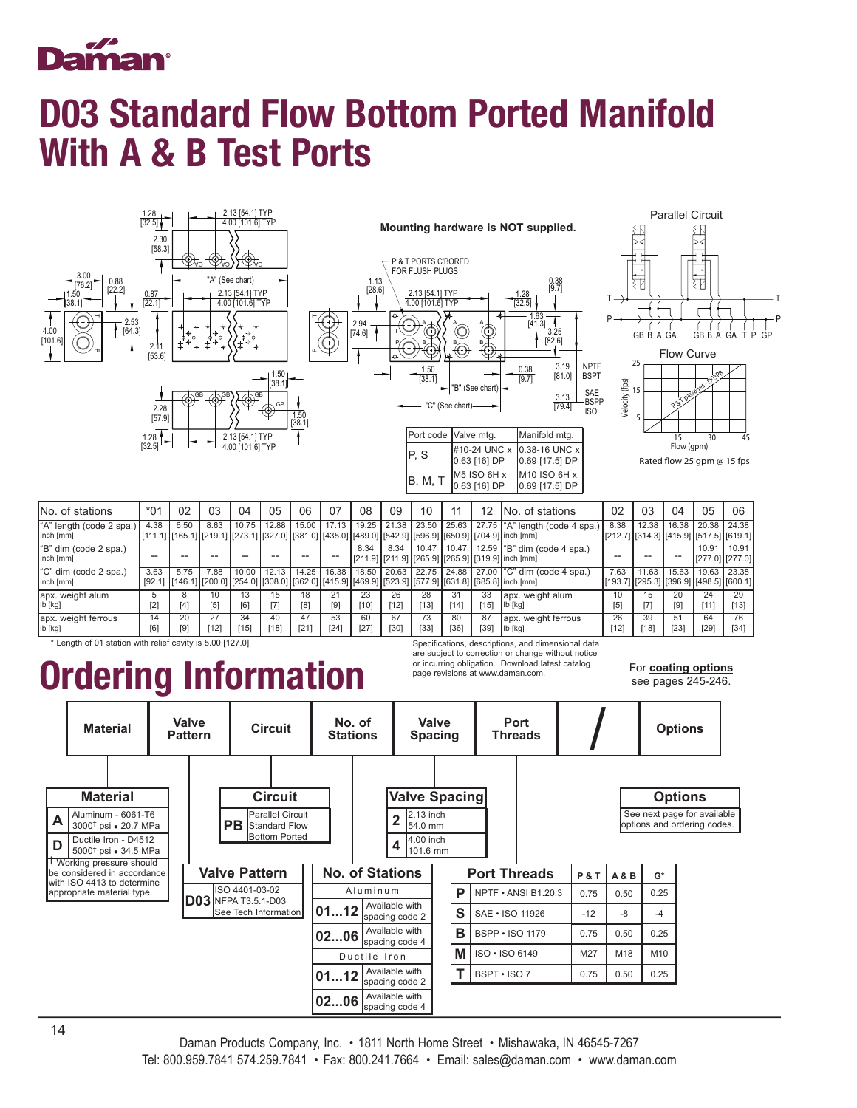

## D03 Standard Flow Bottom Ported Manifold With A & B Test Ports